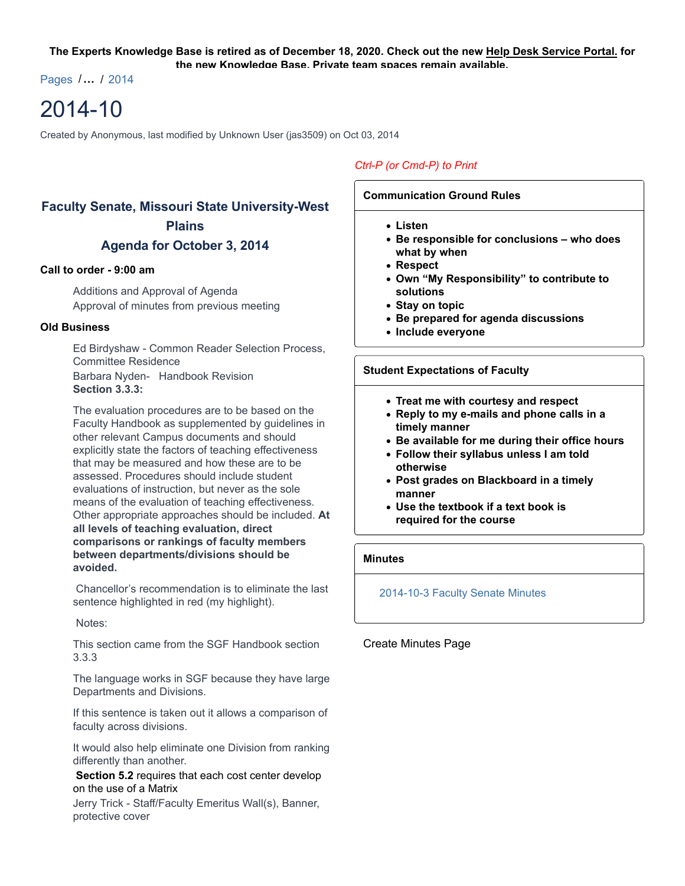#### **The Experts Knowledge Base is retired as of December 18, 2020. Check out the new Help Desk Service Portal. for the new Knowledge Base. Private team spaces remain available.**

Pages /**…** / 2014

# 2014-10

Created by Anonymous, last modified by Unknown User (jas3509) on Oct 03, 2014

# **Faculty Senate, Missouri State University-West Plains**

# **Agenda for October 3, 2014**

### **Call to order - 9:00 am**

Additions and Approval of Agenda Approval of minutes from previous meeting

### **Old Business**

Ed Birdyshaw - Common Reader Selection Process, Committee Residence Barbara Nyden- Handbook Revision **Section 3.3.3:**

The evaluation procedures are to be based on the Faculty Handbook as supplemented by guidelines in other relevant Campus documents and should explicitly state the factors of teaching effectiveness that may be measured and how these are to be assessed. Procedures should include student evaluations of instruction, but never as the sole means of the evaluation of teaching effectiveness. Other appropriate approaches should be included. **At all levels of teaching evaluation, direct comparisons or rankings of faculty members between departments/divisions should be avoided.**

 Chancellor's recommendation is to eliminate the last sentence highlighted in red (my highlight).

Notes:

This section came from the SGF Handbook section 3.3.3

The language works in SGF because they have large Departments and Divisions.

If this sentence is taken out it allows a comparison of faculty across divisions.

It would also help eliminate one Division from ranking differently than another.

#### **Section 5.2** requires that each cost center develop on the use of a Matrix

Jerry Trick - Staff/Faculty Emeritus Wall(s), Banner, protective cover

# *Ctrl-P (or Cmd-P) to Print*

## **Communication Ground Rules**

- **Listen**
- **Be responsible for conclusions who does what by when**
- **Respect**
- **Own "My Responsibility" to contribute to solutions**
- **Stay on topic**
- **Be prepared for agenda discussions**
- **Include everyone**

### **Student Expectations of Faculty**

- **Treat me with courtesy and respect**
- **Reply to my e-mails and phone calls in a timely manner**
- **Be available for me during their office hours**
- **Follow their syllabus unless I am told otherwise**
- **Post grades on Blackboard in a timely manner**
- **Use the textbook if a text book is required for the course**

# **Minutes**

#### 2014-10-3 Faculty Senate Minutes

# Create Minutes Page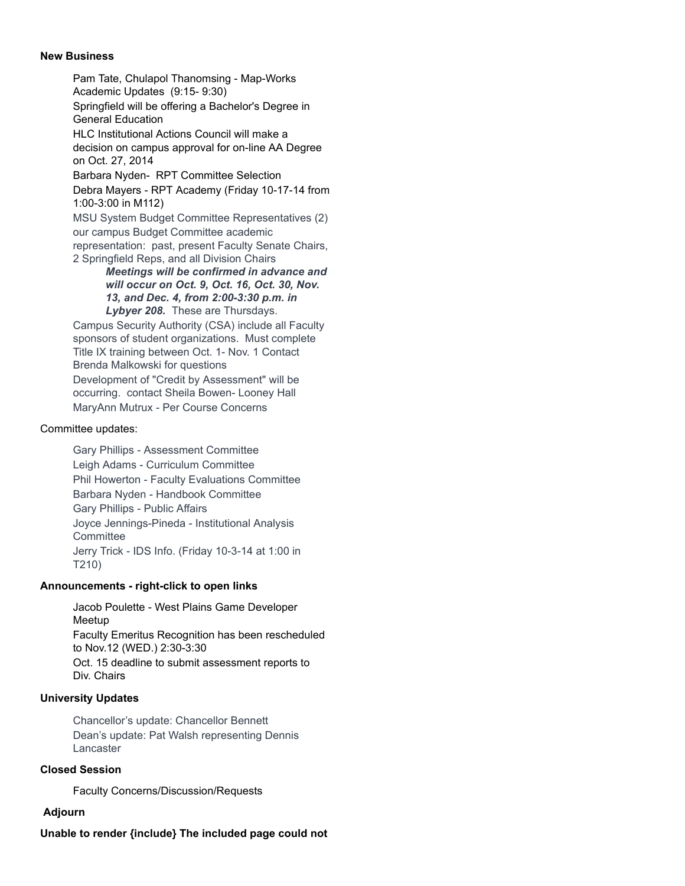#### **New Business**

Pam Tate, Chulapol Thanomsing - Map-Works Academic Updates (9:15- 9:30) Springfield will be offering a Bachelor's Degree in General Education HLC Institutional Actions Council will make a decision on campus approval for on-line AA Degree on Oct. 27, 2014 Barbara Nyden- RPT Committee Selection Debra Mayers - RPT Academy (Friday 10-17-14 from 1:00-3:00 in M112) MSU System Budget Committee Representatives (2) our campus Budget Committee academic representation: past, present Faculty Senate Chairs, 2 Springfield Reps, and all Division Chairs *Meetings will be confirmed in advance and*

*will occur on Oct. 9, Oct. 16, Oct. 30, Nov. 13, and Dec. 4, from 2:00-3:30 p.m. in Lybyer 208.* These are Thursdays.

Campus Security Authority (CSA) include all Faculty sponsors of student organizations. Must complete Title IX training between Oct. 1- Nov. 1 Contact Brenda Malkowski for questions Development of "Credit by Assessment" will be occurring. contact Sheila Bowen- Looney Hall MaryAnn Mutrux - Per Course Concerns

#### Committee updates:

Gary Phillips - Assessment Committee Leigh Adams - Curriculum Committee Phil Howerton - Faculty Evaluations Committee Barbara Nyden - Handbook Committee Gary Phillips - Public Affairs Joyce Jennings-Pineda - Institutional Analysis **Committee** Jerry Trick - IDS Info. (Friday 10-3-14 at 1:00 in T210)

#### **Announcements - right-click to open links**

Jacob Poulette - West Plains Game Developer Meetup Faculty Emeritus Recognition has been rescheduled to Nov.12 (WED.) 2:30-3:30 Oct. 15 deadline to submit assessment reports to Div. Chairs

#### **University Updates**

Chancellor's update: Chancellor Bennett Dean's update: Pat Walsh representing Dennis Lancaster

#### **Closed Session**

Faculty Concerns/Discussion/Requests

# **Adjourn**

# **Unable to render {include} The included page could not**